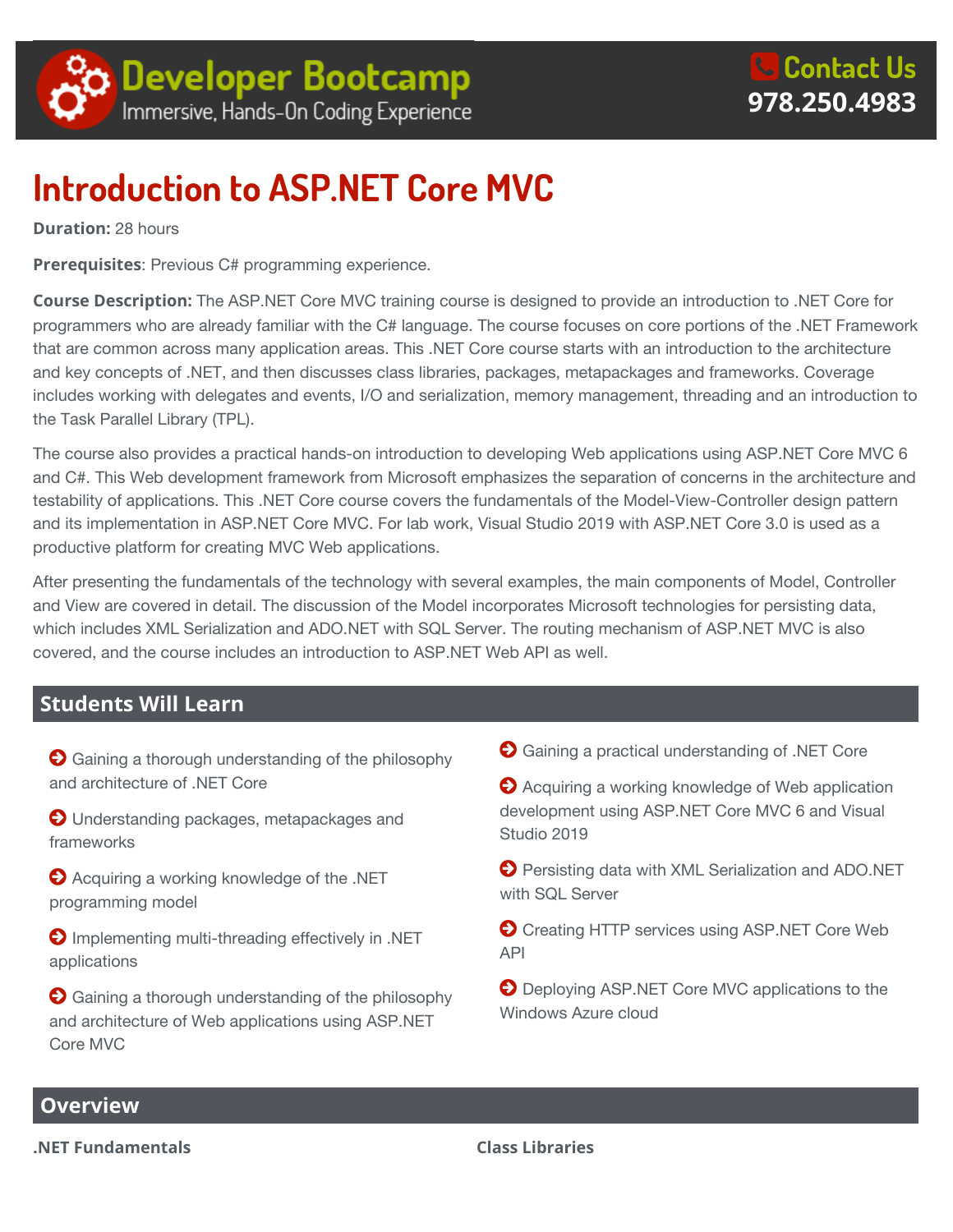

# **Introduction to ASP.NET Core MVC**

**Duration:** 28 hours

**Prerequisites**: Previous C# programming experience.

**Course Description:** The ASP.NET Core MVC training course is designed to provide an introduction to .NET Core for programmers who are already familiar with the C# language. The course focuses on core portions of the .NET Framework that are common across many application areas. This .NET Core course starts with an introduction to the architecture and key concepts of .NET, and then discusses class libraries, packages, metapackages and frameworks. Coverage includes working with delegates and events, I/O and serialization, memory management, threading and an introduction to the Task Parallel Library (TPL).

The course also provides a practical hands-on introduction to developing Web applications using ASP.NET Core MVC 6 and C#. This Web development framework from Microsoft emphasizes the separation of concerns in the architecture and testability of applications. This .NET Core course covers the fundamentals of the Model-View-Controller design pattern and its implementation in ASP.NET Core MVC. For lab work, Visual Studio 2019 with ASP.NET Core 3.0 is used as a productive platform for creating MVC Web applications.

After presenting the fundamentals of the technology with several examples, the main components of Model, Controller and View are covered in detail. The discussion of the Model incorporates Microsoft technologies for persisting data, which includes XML Serialization and ADO.NET with SQL Server. The routing mechanism of ASP.NET MVC is also covered, and the course includes an introduction to ASP.NET Web API as well.

# **Students Will Learn**

 $\bigodot$  Gaining a thorough understanding of the philosophy and architecture of .NET Core

O Understanding packages, metapackages and frameworks

**Acquiring a working knowledge of the .NET** programming model

**O** Implementing multi-threading effectively in .NET applications

 $\bigodot$  Gaining a thorough understanding of the philosophy and architecture of Web applications using ASP.NET Core MVC

Gaining a practical understanding of .NET Core

**A** Acquiring a working knowledge of Web application development using ASP.NET Core MVC 6 and Visual Studio 2019

**Persisting data with XML Serialization and ADO.NET** with SQL Server

**O** Creating HTTP services using ASP.NET Core Web API

**O** Deploying ASP.NET Core MVC applications to the Windows Azure cloud

# **Overview**

**.NET Fundamentals Class Libraries**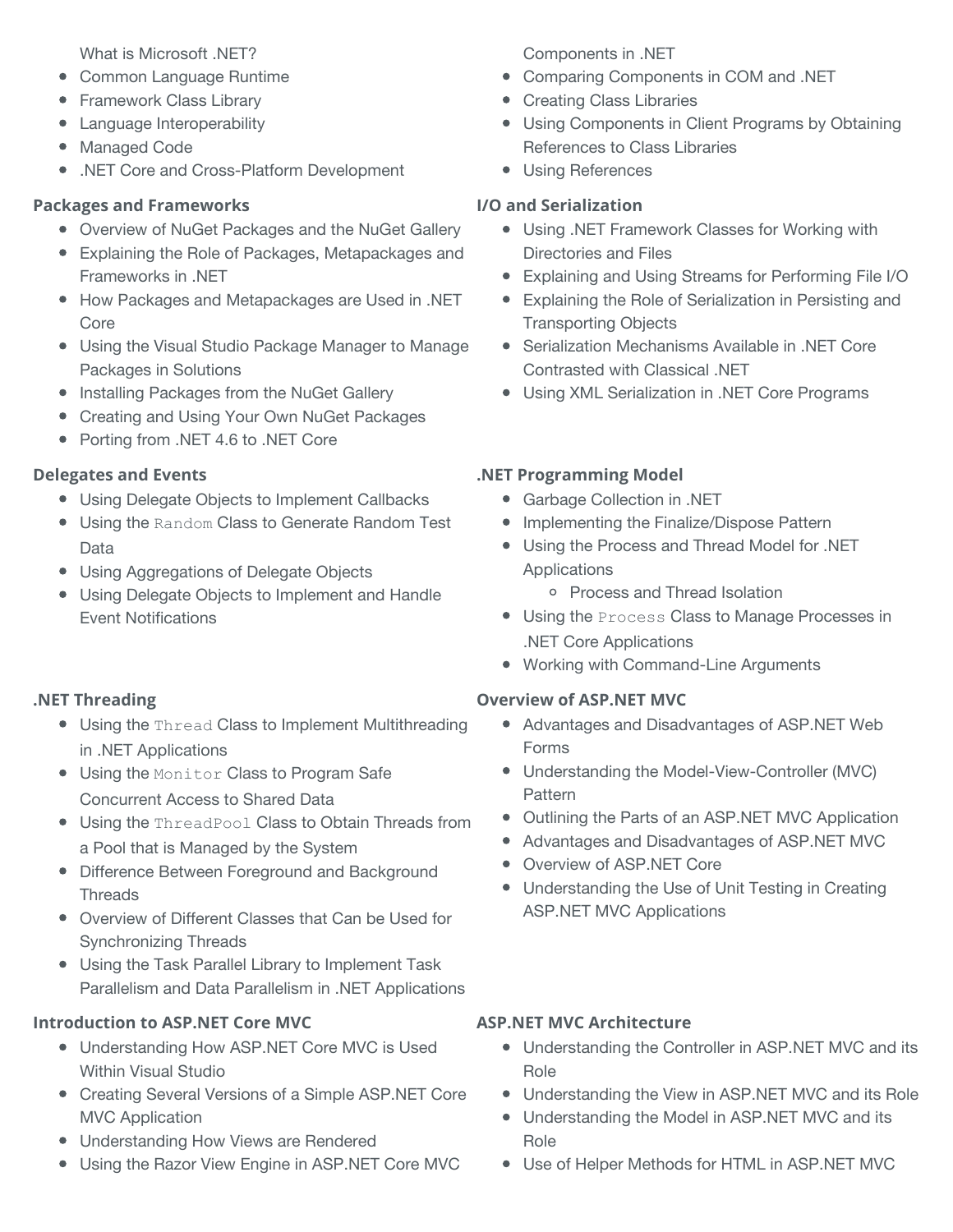What is Microsoft .NET?

- Common Language Runtime
- Framework Class Library
- Language Interoperability
- Managed Code
- .NET Core and Cross-Platform Development

# **Packages and Frameworks**

- Overview of NuGet Packages and the NuGet Gallery
- Explaining the Role of Packages, Metapackages and Frameworks in .NET
- How Packages and Metapackages are Used in .NET Core
- Using the Visual Studio Package Manager to Manage Packages in Solutions
- **Installing Packages from the NuGet Gallery**
- Creating and Using Your Own NuGet Packages
- Porting from .NET 4.6 to .NET Core

## **Delegates and Events**

- Using Delegate Objects to Implement Callbacks
- Using the Random Class to Generate Random Test Data
- Using Aggregations of Delegate Objects
- Using Delegate Objects to Implement and Handle Event Notifications

# **.NET Threading**

- **Using the Thread Class to Implement Multithreading** in .NET Applications
- Using the Monitor Class to Program Safe Concurrent Access to Shared Data
- Using the ThreadPool Class to Obtain Threads from a Pool that is Managed by the System
- Difference Between Foreground and Background **Threads**
- Overview of Different Classes that Can be Used for Synchronizing Threads
- Using the Task Parallel Library to Implement Task Parallelism and Data Parallelism in .NET Applications

# **Introduction to ASP.NET Core MVC**

- Understanding How ASP.NET Core MVC is Used Within Visual Studio
- Creating Several Versions of a Simple ASP.NET Core MVC Application
- Understanding How Views are Rendered
- Using the Razor View Engine in ASP.NET Core MVC

Components in .NET

- Comparing Components in COM and .NET
- Creating Class Libraries
- Using Components in Client Programs by Obtaining References to Class Libraries
- Using References

## **I/O and Serialization**

- Using .NET Framework Classes for Working with Directories and Files
- Explaining and Using Streams for Performing File I/O
- Explaining the Role of Serialization in Persisting and Transporting Objects
- **•** Serialization Mechanisms Available in .NET Core Contrasted with Classical .NET
- Using XML Serialization in .NET Core Programs

# **.NET Programming Model**

- Garbage Collection in .NET
- Implementing the Finalize/Dispose Pattern
- Using the Process and Thread Model for .NET Applications
	- o Process and Thread Isolation
- Using the Process Class to Manage Processes in .NET Core Applications
- Working with Command-Line Arguments

#### **Overview of ASP.NET MVC**

- Advantages and Disadvantages of ASP.NET Web Forms
- Understanding the Model-View-Controller (MVC) Pattern
- Outlining the Parts of an ASP.NET MVC Application
- Advantages and Disadvantages of ASP.NET MVC
- Overview of ASP.NET Core
- Understanding the Use of Unit Testing in Creating ASP.NET MVC Applications

#### **ASP.NET MVC Architecture**

- Understanding the Controller in ASP.NET MVC and its Role
- Understanding the View in ASP.NET MVC and its Role
- Understanding the Model in ASP.NET MVC and its Role
- Use of Helper Methods for HTML in ASP.NET MVC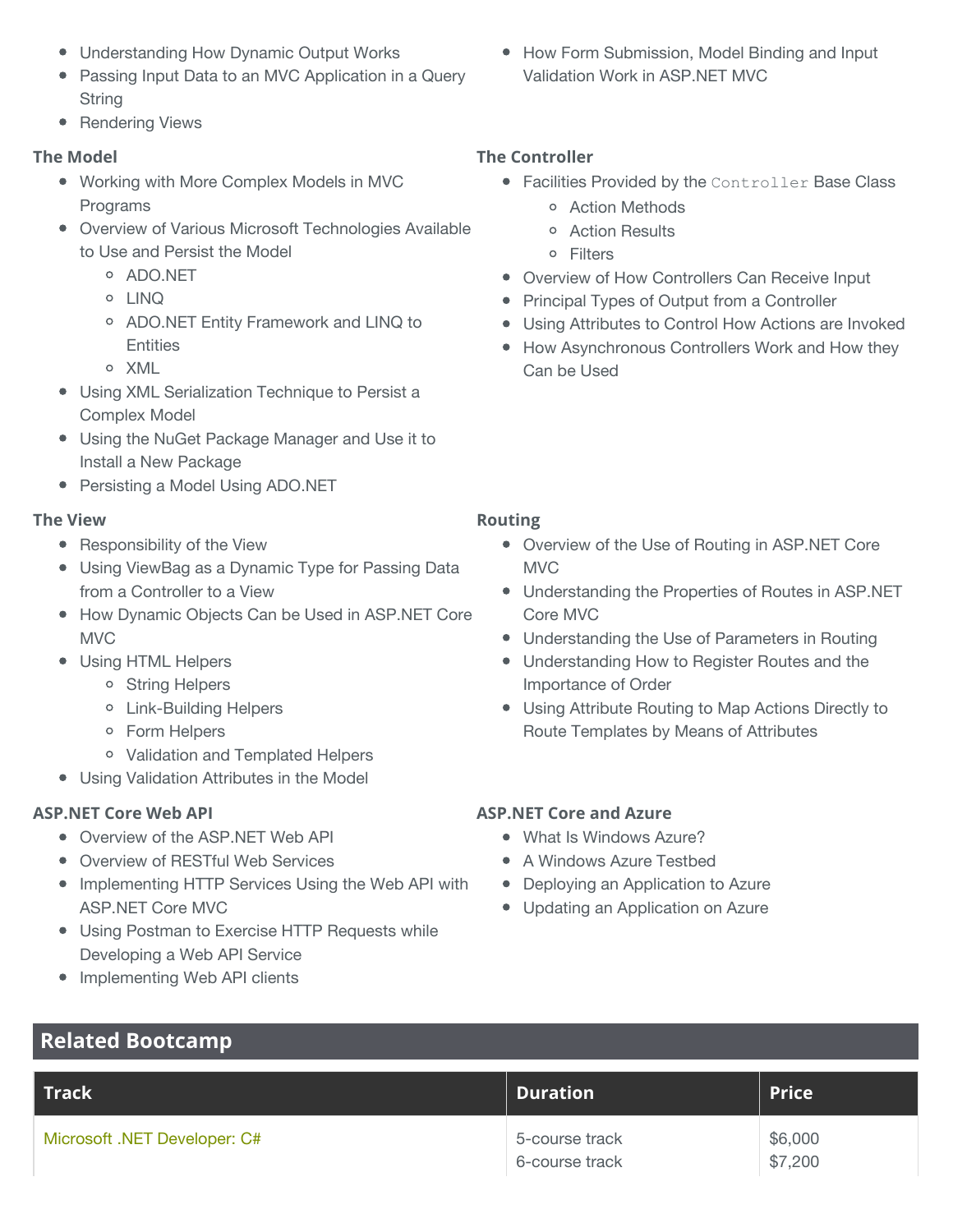- Understanding How Dynamic Output Works
- Passing Input Data to an MVC Application in a Query String
- Rendering Views

#### **The Model**

- Working with More Complex Models in MVC Programs
- Overview of Various Microsoft Technologies Available to Use and Persist the Model
	- ADO.NET
	- LINQ
	- ADO.NET Entity Framework and LINQ to **Entities**
	- o XML
- Using XML Serialization Technique to Persist a Complex Model
- Using the NuGet Package Manager and Use it to Install a New Package
- Persisting a Model Using ADO.NET

#### **The View**

- Responsibility of the View
- Using ViewBag as a Dynamic Type for Passing Data from a Controller to a View
- How Dynamic Objects Can be Used in ASP.NET Core MVC
- Using HTML Helpers
	- o String Helpers
	- Link-Building Helpers
	- Form Helpers
	- Validation and Templated Helpers
- Using Validation Attributes in the Model

#### **ASP.NET Core Web API**

- Overview of the ASP.NET Web API
- Overview of RESTful Web Services
- **Implementing HTTP Services Using the Web API with** ASP.NET Core MVC
- Using Postman to Exercise HTTP Requests while Developing a Web API Service
- Implementing Web API clients

**Related Bootcamp**

• How Form Submission, Model Binding and Input Validation Work in ASP.NET MVC

#### **The Controller**

- **Facilities Provided by the Controller Base Class** 
	- Action Methods
	- Action Results
	- Filters
- Overview of How Controllers Can Receive Input
- Principal Types of Output from a Controller
- Using Attributes to Control How Actions are Invoked
- How Asynchronous Controllers Work and How they Can be Used

#### **Routing**

- Overview of the Use of Routing in ASP.NET Core **MVC**
- Understanding the Properties of Routes in ASP.NET Core MVC
- Understanding the Use of Parameters in Routing
- Understanding How to Register Routes and the Importance of Order
- Using Attribute Routing to Map Actions Directly to Route Templates by Means of Attributes

#### **ASP.NET Core and Azure**

- What Is Windows Azure?
- A Windows Azure Testbed
- Deploying an Application to Azure
- Updating an Application on Azure

| $\blacksquare$ Track $\blacksquare$ | <b>Duration</b>                  | Price <sup>1</sup> |
|-------------------------------------|----------------------------------|--------------------|
| Microsoft .NET Developer: C#        | 5-course track<br>6-course track | \$6,000<br>\$7,200 |